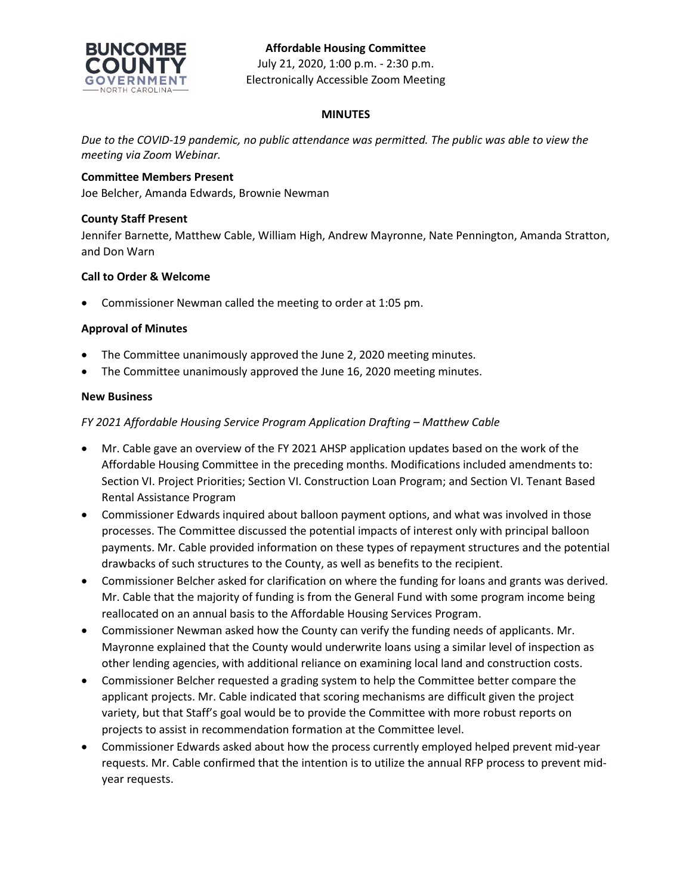

# **MINUTES**

*Due to the COVID-19 pandemic, no public attendance was permitted. The public was able to view the meeting via Zoom Webinar.*

# **Committee Members Present**

Joe Belcher, Amanda Edwards, Brownie Newman

# **County Staff Present**

Jennifer Barnette, Matthew Cable, William High, Andrew Mayronne, Nate Pennington, Amanda Stratton, and Don Warn

# **Call to Order & Welcome**

• Commissioner Newman called the meeting to order at 1:05 pm.

# **Approval of Minutes**

- The Committee unanimously approved the June 2, 2020 meeting minutes.
- The Committee unanimously approved the June 16, 2020 meeting minutes.

### **New Business**

# *FY 2021 Affordable Housing Service Program Application Drafting – Matthew Cable*

- Mr. Cable gave an overview of the FY 2021 AHSP application updates based on the work of the Affordable Housing Committee in the preceding months. Modifications included amendments to: Section VI. Project Priorities; Section VI. Construction Loan Program; and Section VI. Tenant Based Rental Assistance Program
- Commissioner Edwards inquired about balloon payment options, and what was involved in those processes. The Committee discussed the potential impacts of interest only with principal balloon payments. Mr. Cable provided information on these types of repayment structures and the potential drawbacks of such structures to the County, as well as benefits to the recipient.
- Commissioner Belcher asked for clarification on where the funding for loans and grants was derived. Mr. Cable that the majority of funding is from the General Fund with some program income being reallocated on an annual basis to the Affordable Housing Services Program.
- Commissioner Newman asked how the County can verify the funding needs of applicants. Mr. Mayronne explained that the County would underwrite loans using a similar level of inspection as other lending agencies, with additional reliance on examining local land and construction costs.
- Commissioner Belcher requested a grading system to help the Committee better compare the applicant projects. Mr. Cable indicated that scoring mechanisms are difficult given the project variety, but that Staff's goal would be to provide the Committee with more robust reports on projects to assist in recommendation formation at the Committee level.
- Commissioner Edwards asked about how the process currently employed helped prevent mid-year requests. Mr. Cable confirmed that the intention is to utilize the annual RFP process to prevent midyear requests.